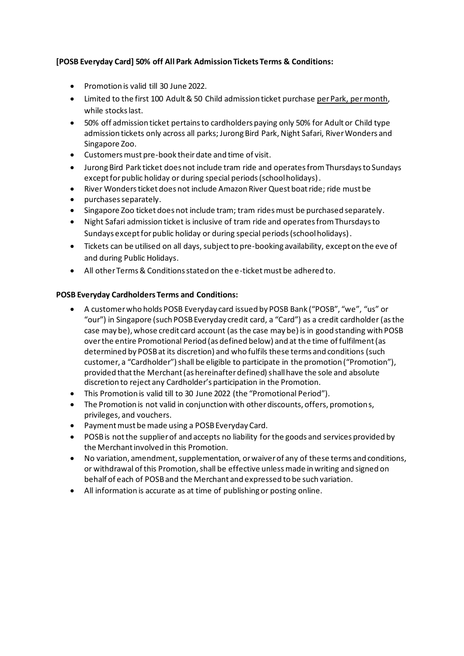## **[POSB Everyday Card] 50% off All Park Admission Tickets Terms & Conditions:**

- Promotion is valid till 30 June 2022.
- Limited to the first 100 Adult & 50 Child admission ticket purchase per Park, per month, while stocks last.
- 50% off admission ticket pertains to cardholders paying only 50% for Adult or Child type admission tickets only across all parks; Jurong Bird Park, Night Safari, River Wonders and Singapore Zoo.
- Customers must pre-book their date and time of visit.
- Jurong Bird Park ticket does not include tram ride and operates from Thursdays to Sundays except for public holiday or during special periods (school holidays).
- River Wonders ticket does not include Amazon River Quest boat ride; ride must be
- purchases separately.
- Singapore Zoo ticket does not include tram; tram rides must be purchased separately.
- Night Safari admission ticket is inclusive of tram ride and operates from Thursdays to Sundays except for public holiday or during special periods (school holidays).
- Tickets can be utilised on all days, subject to pre-booking availability, except on the eve of and during Public Holidays.
- All other Terms & Conditions stated on the e-ticket must be adhered to.

## **POSB Everyday Cardholders Terms and Conditions:**

- A customer who holds POSB Everyday card issued by POSB Bank ("POSB", "we", "us" or "our") in Singapore (such POSB Everyday credit card, a "Card") as a credit cardholder (as the case may be), whose credit card account (as the case may be) is in good standing with POSB over the entire Promotional Period (as defined below) and at the time of fulfilment (as determined by POSB at its discretion) and who fulfils these terms and conditions (such customer, a "Cardholder") shall be eligible to participate in the promotion ("Promotion"), provided that the Merchant (as hereinafter defined) shall have the sole and absolute discretion to reject any Cardholder's participation in the Promotion.
- This Promotion is valid till to 30 June 2022 (the "Promotional Period").
- The Promotion is not valid in conjunction with other discounts, offers, promotions, privileges, and vouchers.
- Payment must be made using a POSB Everyday Card.
- POSB is not the supplier of and accepts no liability for the goods and services provided by the Merchant involved in this Promotion.
- No variation, amendment, supplementation, or waiver of any of these terms and conditions, or withdrawal of this Promotion, shall be effective unless made in writing and signed on behalf of each of POSB and the Merchant and expressed to be such variation.
- All information is accurate as at time of publishing or posting online.